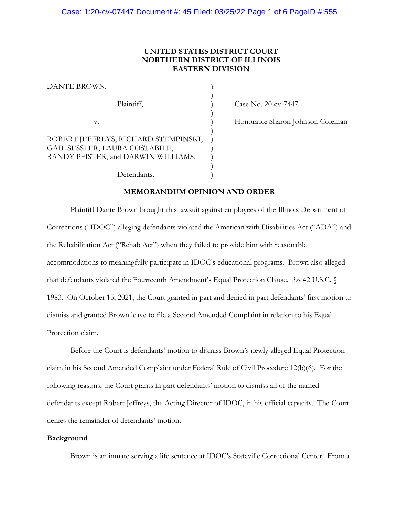# **UNITED STATES DISTRICT COURT NORTHERN DISTRICT OF ILLINOIS EASTERN DIVISION**

| DANTE BROWN,                                                                                                  |  |
|---------------------------------------------------------------------------------------------------------------|--|
| Plaintiff,                                                                                                    |  |
| V.                                                                                                            |  |
| ROBERT JEFFREYS, RICHARD STEMPINSKI,<br>GAIL SESSLER, LAURA COSTABILE,<br>RANDY PFISTER, and DARWIN WILLIAMS, |  |

) Case No. 20-cv-7447

) Honorable Sharon Johnson Coleman<br>)<br>)

Defendants.

## **MEMORANDUM OPINION AND ORDER**

Plaintiff Dante Brown brought this lawsuit against employees of the Illinois Department of Corrections ("IDOC") alleging defendants violated the American with Disabilities Act ("ADA") and the Rehabilitation Act ("Rehab Act") when they failed to provide him with reasonable accommodations to meaningfully participate in IDOC's educational programs. Brown also alleged that defendants violated the Fourteenth Amendment's Equal Protection Clause. *See* 42 U.S.C. § 1983. On October 15, 2021, the Court granted in part and denied in part defendants' first motion to dismiss and granted Brown leave to file a Second Amended Complaint in relation to his Equal Protection claim.

Before the Court is defendants' motion to dismiss Brown's newly-alleged Equal Protection claim in his Second Amended Complaint under Federal Rule of Civil Procedure 12(b)(6). For the following reasons, the Court grants in part defendants' motion to dismiss all of the named defendants except Robert Jeffreys, the Acting Director of IDOC, in his official capacity. The Court denies the remainder of defendants' motion.

### **Background**

Brown is an inmate serving a life sentence at IDOC's Stateville Correctional Center. From a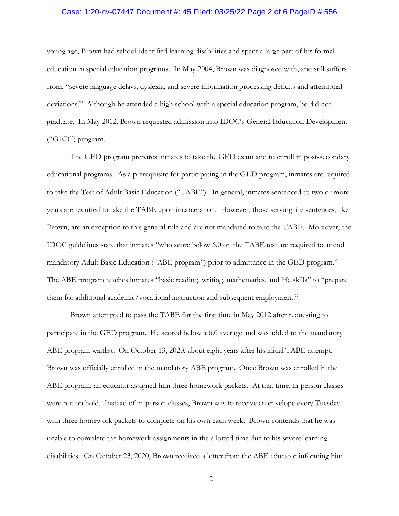### Case: 1:20-cv-07447 Document #: 45 Filed: 03/25/22 Page 2 of 6 PageID #:556

young age, Brown had school-identified learning disabilities and spent a large part of his formal education in special education programs. In May 2004, Brown was diagnosed with, and still suffers from, "severe language delays, dyslexia, and severe information processing deficits and attentional deviations." Although he attended a high school with a special education program, he did not graduate. In May 2012, Brown requested admission into IDOC's General Education Development ("GED") program.

The GED program prepares inmates to take the GED exam and to enroll in post-secondary educational programs. As a prerequisite for participating in the GED program, inmates are required to take the Test of Adult Basic Education ("TABE"). In general, inmates sentenced to two or more years are required to take the TABE upon incarceration. However, those serving life sentences, like Brown, are an exception to this general rule and are not mandated to take the TABE. Moreover, the IDOC guidelines state that inmates "who score below 6.0 on the TABE test are required to attend mandatory Adult Basic Education ("ABE program") prior to admittance in the GED program." The ABE program teaches inmates "basic reading, writing, mathematics, and life skills" to "prepare them for additional academic/vocational instruction and subsequent employment."

Brown attempted to pass the TABE for the first time in May 2012 after requesting to participate in the GED program. He scored below a 6.0 average and was added to the mandatory ABE program waitlist. On October 13, 2020, about eight years after his initial TABE attempt, Brown was officially enrolled in the mandatory ABE program. Once Brown was enrolled in the ABE program, an educator assigned him three homework packets. At that time, in-person classes were put on hold. Instead of in-person classes, Brown was to receive an envelope every Tuesday with three homework packets to complete on his own each week. Brown contends that he was unable to complete the homework assignments in the allotted time due to his severe learning disabilities. On October 23, 2020, Brown received a letter from the ABE educator informing him

2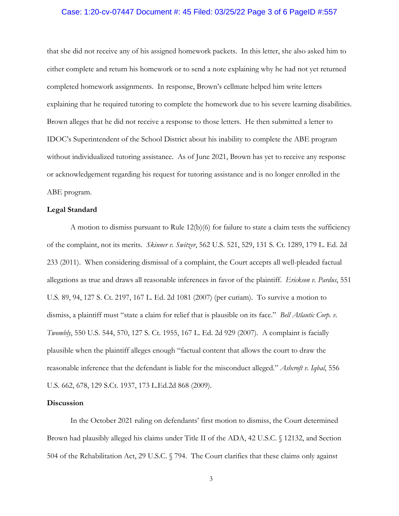### Case: 1:20-cv-07447 Document #: 45 Filed: 03/25/22 Page 3 of 6 PageID #:557

that she did not receive any of his assigned homework packets. In this letter, she also asked him to either complete and return his homework or to send a note explaining why he had not yet returned completed homework assignments. In response, Brown's cellmate helped him write letters explaining that he required tutoring to complete the homework due to his severe learning disabilities. Brown alleges that he did not receive a response to those letters. He then submitted a letter to IDOC's Superintendent of the School District about his inability to complete the ABE program without individualized tutoring assistance. As of June 2021, Brown has yet to receive any response or acknowledgement regarding his request for tutoring assistance and is no longer enrolled in the ABE program.

#### **Legal Standard**

A motion to dismiss pursuant to Rule  $12(b)(6)$  for failure to state a claim tests the sufficiency of the complaint, not its merits. *Skinner v. Switzer*, 562 U.S. 521, 529, 131 S. Ct. 1289, 179 L. Ed. 2d 233 (2011). When considering dismissal of a complaint, the Court accepts all well-pleaded factual allegations as true and draws all reasonable inferences in favor of the plaintiff. *Erickson v. Pardus*, 551 U.S. 89, 94, 127 S. Ct. 2197, 167 L. Ed. 2d 1081 (2007) (per curiam). To survive a motion to dismiss, a plaintiff must "state a claim for relief that is plausible on its face." *Bell Atlantic Corp. v. Twombly*, 550 U.S. 544, 570, 127 S. Ct. 1955, 167 L. Ed. 2d 929 (2007). A complaint is facially plausible when the plaintiff alleges enough "factual content that allows the court to draw the reasonable inference that the defendant is liable for the misconduct alleged." *Ashcroft v. Iqbal*, 556 U.S. 662, 678, 129 S.Ct. 1937, 173 L.Ed.2d 868 (2009).

#### **Discussion**

In the October 2021 ruling on defendants' first motion to dismiss, the Court determined Brown had plausibly alleged his claims under Title II of the ADA, 42 U.S.C. § 12132, and Section 504 of the Rehabilitation Act, 29 U.S.C. § 794. The Court clarifies that these claims only against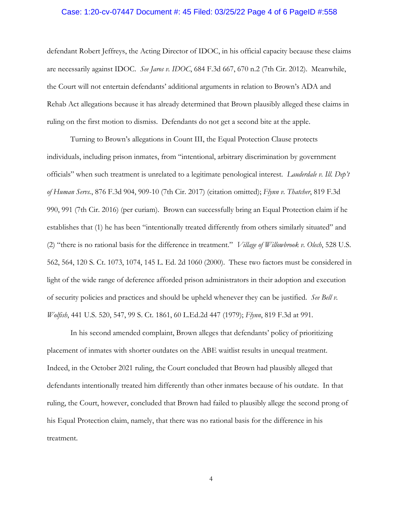### Case: 1:20-cv-07447 Document #: 45 Filed: 03/25/22 Page 4 of 6 PageID #:558

defendant Robert Jeffreys, the Acting Director of IDOC, in his official capacity because these claims are necessarily against IDOC. *See Jaros v. IDOC*, 684 F.3d 667, 670 n.2 (7th Cir. 2012). Meanwhile, the Court will not entertain defendants' additional arguments in relation to Brown's ADA and Rehab Act allegations because it has already determined that Brown plausibly alleged these claims in ruling on the first motion to dismiss. Defendants do not get a second bite at the apple.

Turning to Brown's allegations in Count III, the Equal Protection Clause protects individuals, including prison inmates, from "intentional, arbitrary discrimination by government officials" when such treatment is unrelated to a legitimate penological interest. *Lauderdale v. Ill. Dep't of Human Servs.*, 876 F.3d 904, 909-10 (7th Cir. 2017) (citation omitted); *Flynn v. Thatcher*, 819 F.3d 990, 991 (7th Cir. 2016) (per curiam). Brown can successfully bring an Equal Protection claim if he establishes that (1) he has been "intentionally treated differently from others similarly situated" and (2) "there is no rational basis for the difference in treatment." *Village of Willowbrook v. Olech*, 528 U.S. 562, 564, 120 S. Ct. 1073, 1074, 145 L. Ed. 2d 1060 (2000). These two factors must be considered in light of the wide range of deference afforded prison administrators in their adoption and execution of security policies and practices and should be upheld whenever they can be justified. *See Bell v. Wolfish*, 441 U.S. 520, 547, 99 S. Ct. 1861, 60 L.Ed.2d 447 (1979); *Flynn*, 819 F.3d at 991*.* 

In his second amended complaint, Brown alleges that defendants' policy of prioritizing placement of inmates with shorter outdates on the ABE waitlist results in unequal treatment. Indeed, in the October 2021 ruling, the Court concluded that Brown had plausibly alleged that defendants intentionally treated him differently than other inmates because of his outdate. In that ruling, the Court, however, concluded that Brown had failed to plausibly allege the second prong of his Equal Protection claim, namely, that there was no rational basis for the difference in his treatment.

4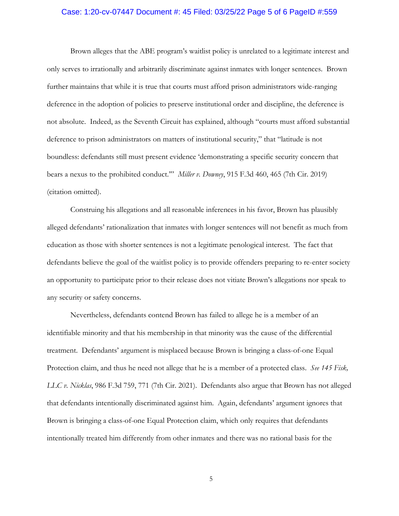### Case: 1:20-cv-07447 Document #: 45 Filed: 03/25/22 Page 5 of 6 PageID #:559

Brown alleges that the ABE program's waitlist policy is unrelated to a legitimate interest and only serves to irrationally and arbitrarily discriminate against inmates with longer sentences. Brown further maintains that while it is true that courts must afford prison administrators wide-ranging deference in the adoption of policies to preserve institutional order and discipline, the deference is not absolute. Indeed, as the Seventh Circuit has explained, although "courts must afford substantial deference to prison administrators on matters of institutional security," that "latitude is not boundless: defendants still must present evidence 'demonstrating a specific security concern that bears a nexus to the prohibited conduct.'" *Miller v. Downey*, 915 F.3d 460, 465 (7th Cir. 2019) (citation omitted).

Construing his allegations and all reasonable inferences in his favor, Brown has plausibly alleged defendants' rationalization that inmates with longer sentences will not benefit as much from education as those with shorter sentences is not a legitimate penological interest. The fact that defendants believe the goal of the waitlist policy is to provide offenders preparing to re-enter society an opportunity to participate prior to their release does not vitiate Brown's allegations nor speak to any security or safety concerns.

Nevertheless, defendants contend Brown has failed to allege he is a member of an identifiable minority and that his membership in that minority was the cause of the differential treatment. Defendants' argument is misplaced because Brown is bringing a class-of-one Equal Protection claim, and thus he need not allege that he is a member of a protected class. *See 145 Fisk, LLC v. Nicklas*, 986 F.3d 759, 771 (7th Cir. 2021). Defendants also argue that Brown has not alleged that defendants intentionally discriminated against him. Again, defendants' argument ignores that Brown is bringing a class-of-one Equal Protection claim, which only requires that defendants intentionally treated him differently from other inmates and there was no rational basis for the

5